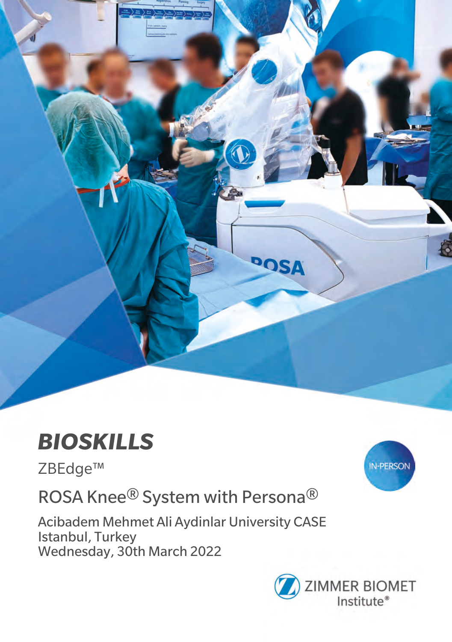

# *BIOSKILLS*

ZBEdge™

ROSA Knee® System with Persona®

Acibadem Mehmet Ali Aydinlar University CASE Istanbul, Turkey Wednesday, 30th March 2022



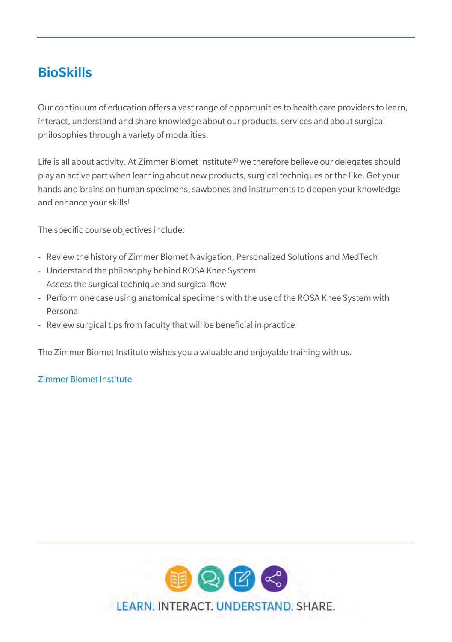### BioSkills

Our continuum of education offers a vast range of opportunities to health care providers to learn, interact, understand and share knowledge about our products, services and about surgical philosophies through a variety of modalities.

Life is all about activity. At Zimmer Biomet Institute® we therefore believe our delegates should play an active part when learning about new products, surgical techniques or the like. Get your hands and brains on human specimens, sawbones and instruments to deepen your knowledge and enhance your skills!

The specific course objectives include:

- Review the history of Zimmer Biomet Navigation, Personalized Solutions and MedTech
- Understand the philosophy behind ROSA Knee System
- Assess the surgical technique and surgical flow
- Perform one case using anatomical specimens with the use of the ROSA Knee System with Persona
- Review surgical tips from faculty that will be beneficial in practice

The Zimmer Biomet Institute wishes you a valuable and enjoyable training with us.

### Zimmer Biomet Institute

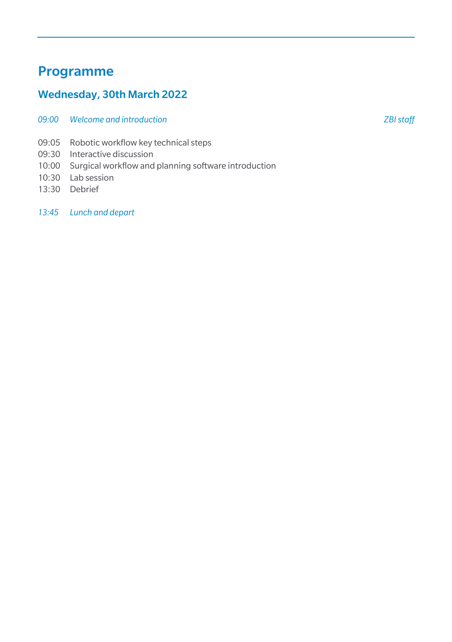### Programme

### Wednesday, 30th March 2022

- *09:00 Welcome and introduction ZBI staff*
- 09:05 Robotic workflow key technical steps
- 09:30 Interactive discussion
- 10:00 Surgical workflow and planning software introduction
- 10:30 Lab session
- 13:30 Debrief

*13:45 Lunch and depart*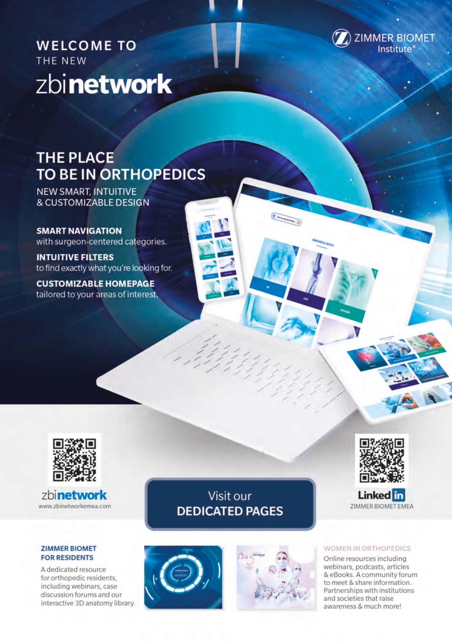**WELCOME TO** THE NEW zbinetwork



## **THE PLACE TO BE IN ORTHOPEDICS**

NEW SMART, INTUITIVE **& CUSTOMIZABLE DESIGN** 

**SMART NAVIGATION** with surgeon-centered categories.

**INTUITIVE FILTERS** to find exactly what you're looking for.

**CUSTOMIZABLE HOMEPAGE** tailored to your areas of interest.



zbinetwork www.zbinetworkemea.com

#### **ZIMMER BIOMET FOR RESIDENTS**

A dedicated resource for orthopedic residents. including webinars, case discussion forums and our interactive 3D anatomy library.

Visit our **DEDICATED PAGES** 





#### **WOMEN IN ORTHOPEDICS**

Online resources including webinars, podcasts, articles & eBooks. A community forum to meet & share information. Partnerships with institutions and societies that raise awareness & much more!



**Linked** in **ZIMMER BIOMET EMEA**